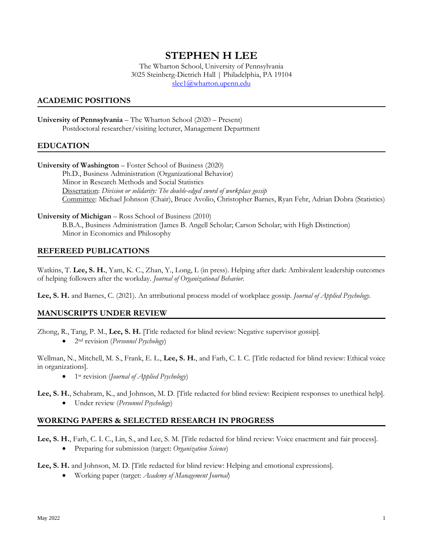# **STEPHEN H LEE**

The Wharton School, University of Pennsylvania 3025 Steinberg-Dietrich Hall | Philadelphia, PA 19104 [slee1@wharton.upenn.edu](mailto:slee1@wharton.upenn.edu)

# **ACADEMIC POSITIONS**

**University of Pennsylvania** – The Wharton School (2020 – Present) Postdoctoral researcher/visiting lecturer, Management Department

## **EDUCATION**

**University of Washington** – Foster School of Business (2020) Ph.D., Business Administration (Organizational Behavior) Minor in Research Methods and Social Statistics Dissertation: *Division or solidarity: The double-edged sword of workplace gossip* Committee: Michael Johnson (Chair), Bruce Avolio, Christopher Barnes, Ryan Fehr, Adrian Dobra (Statistics)

**University of Michigan** – Ross School of Business (2010) B.B.A., Business Administration (James B. Angell Scholar; Carson Scholar; with High Distinction) Minor in Economics and Philosophy

#### **REFEREED PUBLICATIONS**

Watkins, T. **Lee, S. H.**, Yam, K. C., Zhan, Y., Long, L (in press). Helping after dark: Ambivalent leadership outcomes of helping followers after the workday. *Journal of Organizational Behavior.*

**Lee, S. H.** and Barnes, C. (2021). An attributional process model of workplace gossip. *Journal of Applied Psychology*.

## **MANUSCRIPTS UNDER REVIEW**

Zhong, R., Tang, P. M., **Lee, S. H.** [Title redacted for blind review: Negative supervisor gossip].

• 2nd revision (*Personnel Psychology*)

Wellman, N., Mitchell, M. S., Frank, E. L., **Lee, S. H.**, and Farh, C. I. C. [Title redacted for blind review: Ethical voice in organizations].

• 1st revision (*Journal of Applied Psychology*)

**Lee, S. H.**, Schabram, K., and Johnson, M. D. [Title redacted for blind review: Recipient responses to unethical help].

• Under review (*Personnel Psychology*)

## **WORKING PAPERS & SELECTED RESEARCH IN PROGRESS**

**Lee, S. H.**, Farh, C. I. C., Lin, S., and Lee, S. M. [Title redacted for blind review: Voice enactment and fair process].

• Preparing for submission (target: *Organization Science*)

#### Lee, S. H. and Johnson, M. D. [Title redacted for blind review: Helping and emotional expressions].

• Working paper (target: *Academy of Management Journal*)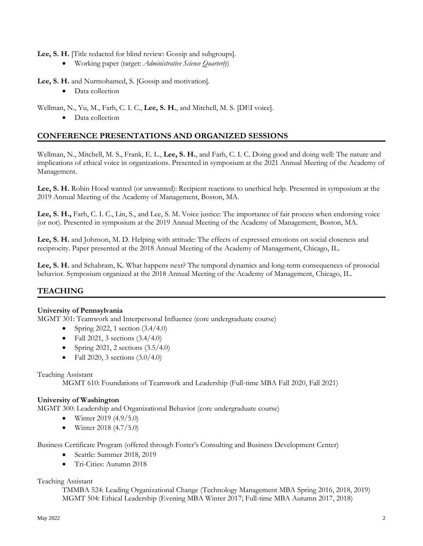**Lee, S. H.** [Title redacted for blind review: Gossip and subgroups].

• Working paper (target: *Administrative Science Quarterly*)

**Lee, S. H.** and Nurmohamed, S. [Gossip and motivation].

• Data collection

Wellman, N., Yu, M., Farh, C. I. C., **Lee, S. H.**, and Mitchell, M. S. [DEI voice].

• Data collection

# **CONFERENCE PRESENTATIONS AND ORGANIZED SESSIONS**

Wellman, N., Mitchell, M. S., Frank, E. L., **Lee, S. H.**, and Farh, C. I. C. Doing good and doing well: The nature and implications of ethical voice in organizations. Presented in symposium at the 2021 Annual Meeting of the Academy of Management.

**Lee, S. H.** Robin Hood wanted (or unwanted): Recipient reactions to unethical help. Presented in symposium at the 2019 Annual Meeting of the Academy of Management, Boston, MA.

**Lee, S. H.,** Farh, C. I. C., Lin, S., and Lee, S. M. Voice justice: The importance of fair process when endorsing voice (or not). Presented in symposium at the 2019 Annual Meeting of the Academy of Management, Boston, MA.

**Lee, S. H.** and Johnson, M. D. Helping with attitude: The effects of expressed emotions on social closeness and reciprocity. Paper presented at the 2018 Annual Meeting of the Academy of Management, Chicago, IL.

**Lee, S. H.** and Schabram, K. What happens next? The temporal dynamics and long-term consequences of prosocial behavior. Symposium organized at the 2018 Annual Meeting of the Academy of Management, Chicago, IL.

# **TEACHING**

## **University of Pennsylvania**

MGMT 301: Teamwork and Interpersonal Influence (core undergraduate course)

- Spring 2022, 1 section  $(3.4/4.0)$
- Fall 2021, 3 sections  $(3.4/4.0)$
- Spring 2021, 2 sections (3.5/4.0)
- Fall 2020, 3 sections  $(3.0/4.0)$

## Teaching Assistant

MGMT 610: Foundations of Teamwork and Leadership (Full-time MBA Fall 2020, Fall 2021)

## **University of Washington**

MGMT 300: Leadership and Organizational Behavior (core undergraduate course)

- Winter 2019  $(4.9/5.0)$
- Winter 2018 (4.7/5.0)

Business Certificate Program (offered through Foster's Consulting and Business Development Center)

- Seattle: Summer 2018, 2019
- Tri-Cities: Autumn 2018

## Teaching Assistant

TMMBA 524: Leading Organizational Change (Technology Management MBA Spring 2016, 2018, 2019) MGMT 504: Ethical Leadership (Evening MBA Winter 2017; Full-time MBA Autumn 2017, 2018)